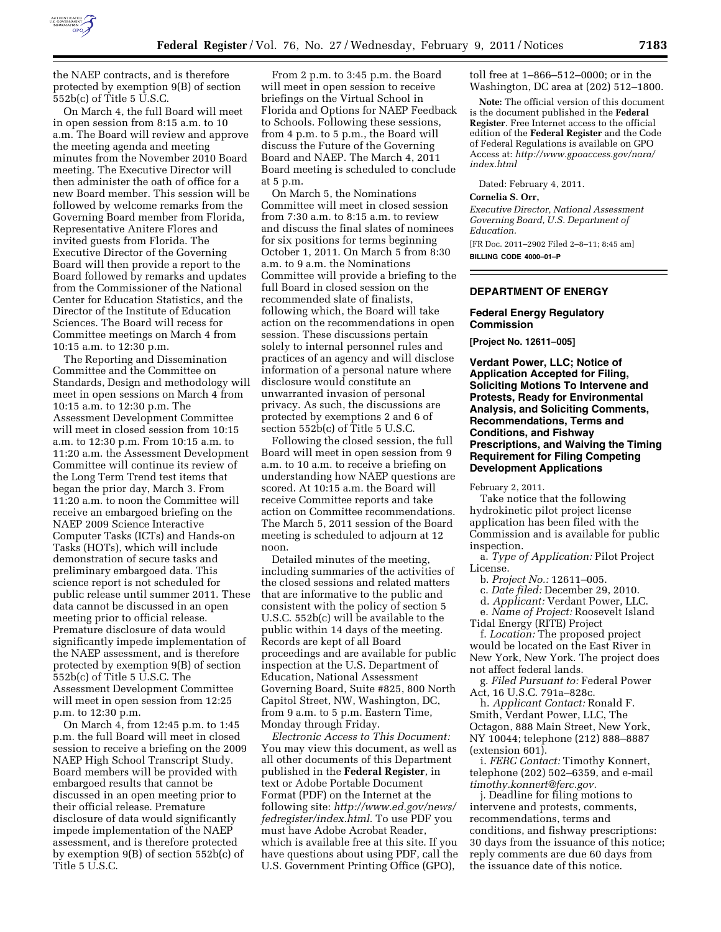

the NAEP contracts, and is therefore protected by exemption 9(B) of section 552b(c) of Title 5 U.S.C.

On March 4, the full Board will meet in open session from 8:15 a.m. to 10 a.m. The Board will review and approve the meeting agenda and meeting minutes from the November 2010 Board meeting. The Executive Director will then administer the oath of office for a new Board member. This session will be followed by welcome remarks from the Governing Board member from Florida, Representative Anitere Flores and invited guests from Florida. The Executive Director of the Governing Board will then provide a report to the Board followed by remarks and updates from the Commissioner of the National Center for Education Statistics, and the Director of the Institute of Education Sciences. The Board will recess for Committee meetings on March 4 from 10:15 a.m. to 12:30 p.m.

The Reporting and Dissemination Committee and the Committee on Standards, Design and methodology will meet in open sessions on March 4 from 10:15 a.m. to 12:30 p.m. The Assessment Development Committee will meet in closed session from 10:15 a.m. to 12:30 p.m. From 10:15 a.m. to 11:20 a.m. the Assessment Development Committee will continue its review of the Long Term Trend test items that began the prior day, March 3. From 11:20 a.m. to noon the Committee will receive an embargoed briefing on the NAEP 2009 Science Interactive Computer Tasks (ICTs) and Hands-on Tasks (HOTs), which will include demonstration of secure tasks and preliminary embargoed data. This science report is not scheduled for public release until summer 2011. These data cannot be discussed in an open meeting prior to official release. Premature disclosure of data would significantly impede implementation of the NAEP assessment, and is therefore protected by exemption 9(B) of section 552b(c) of Title 5 U.S.C. The Assessment Development Committee will meet in open session from 12:25 p.m. to 12:30 p.m.

On March 4, from 12:45 p.m. to 1:45 p.m. the full Board will meet in closed session to receive a briefing on the 2009 NAEP High School Transcript Study. Board members will be provided with embargoed results that cannot be discussed in an open meeting prior to their official release. Premature disclosure of data would significantly impede implementation of the NAEP assessment, and is therefore protected by exemption 9(B) of section 552b(c) of Title 5 U.S.C.

From 2 p.m. to 3:45 p.m. the Board will meet in open session to receive briefings on the Virtual School in Florida and Options for NAEP Feedback to Schools. Following these sessions, from 4 p.m. to 5 p.m., the Board will discuss the Future of the Governing Board and NAEP. The March 4, 2011 Board meeting is scheduled to conclude at 5 p.m.

On March 5, the Nominations Committee will meet in closed session from 7:30 a.m. to 8:15 a.m. to review and discuss the final slates of nominees for six positions for terms beginning October 1, 2011. On March 5 from 8:30 a.m. to 9 a.m. the Nominations Committee will provide a briefing to the full Board in closed session on the recommended slate of finalists, following which, the Board will take action on the recommendations in open session. These discussions pertain solely to internal personnel rules and practices of an agency and will disclose information of a personal nature where disclosure would constitute an unwarranted invasion of personal privacy. As such, the discussions are protected by exemptions 2 and 6 of section 552b(c) of Title 5 U.S.C.

Following the closed session, the full Board will meet in open session from 9 a.m. to 10 a.m. to receive a briefing on understanding how NAEP questions are scored. At 10:15 a.m. the Board will receive Committee reports and take action on Committee recommendations. The March 5, 2011 session of the Board meeting is scheduled to adjourn at 12 noon.

Detailed minutes of the meeting, including summaries of the activities of the closed sessions and related matters that are informative to the public and consistent with the policy of section 5 U.S.C. 552b(c) will be available to the public within 14 days of the meeting. Records are kept of all Board proceedings and are available for public inspection at the U.S. Department of Education, National Assessment Governing Board, Suite #825, 800 North Capitol Street, NW, Washington, DC, from 9 a.m. to 5 p.m. Eastern Time, Monday through Friday.

*Electronic Access to This Document:*  You may view this document, as well as all other documents of this Department published in the **Federal Register**, in text or Adobe Portable Document Format (PDF) on the Internet at the following site: *[http://www.ed.gov/news/](http://www.ed.gov/news/fedregister/index.html) [fedregister/index.html.](http://www.ed.gov/news/fedregister/index.html)* To use PDF you must have Adobe Acrobat Reader, which is available free at this site. If you have questions about using PDF, call the U.S. Government Printing Office (GPO),

toll free at 1–866–512–0000; or in the Washington, DC area at (202) 512–1800.

**Note:** The official version of this document is the document published in the **Federal Register**. Free Internet access to the official edition of the **Federal Register** and the Code of Federal Regulations is available on GPO Access at: *[http://www.gpoaccess.gov/nara/](http://www.gpoaccess.gov/nara/index.html) [index.html](http://www.gpoaccess.gov/nara/index.html)* 

Dated: February 4, 2011.

## **Cornelia S. Orr,**

*Executive Director, National Assessment Governing Board, U.S. Department of Education.* 

[FR Doc. 2011–2902 Filed 2–8–11; 8:45 am] **BILLING CODE 4000–01–P** 

## **DEPARTMENT OF ENERGY**

## **Federal Energy Regulatory Commission**

**[Project No. 12611–005]** 

**Verdant Power, LLC; Notice of Application Accepted for Filing, Soliciting Motions To Intervene and Protests, Ready for Environmental Analysis, and Soliciting Comments, Recommendations, Terms and Conditions, and Fishway Prescriptions, and Waiving the Timing Requirement for Filing Competing Development Applications** 

February 2, 2011.

Take notice that the following hydrokinetic pilot project license application has been filed with the Commission and is available for public inspection.

a. *Type of Application:* Pilot Project License.

b. *Project No.:* 12611–005.

c. *Date filed:* December 29, 2010.

d. *Applicant:* Verdant Power, LLC.

e. *Name of Project:* Roosevelt Island Tidal Energy (RITE) Project

f. *Location:* The proposed project would be located on the East River in New York, New York. The project does not affect federal lands.

g. *Filed Pursuant to:* Federal Power Act, 16 U.S.C. 791a–828c.

h. *Applicant Contact:* Ronald F. Smith, Verdant Power, LLC, The Octagon, 888 Main Street, New York, NY 10044; telephone (212) 888–8887 (extension 601).

i. *FERC Contact:* Timothy Konnert, telephone (202) 502–6359, and e-mail *[timothy.konnert@ferc.gov.](mailto:timothy.konnert@ferc.gov)* 

j. Deadline for filing motions to intervene and protests, comments, recommendations, terms and conditions, and fishway prescriptions: 30 days from the issuance of this notice; reply comments are due 60 days from the issuance date of this notice.